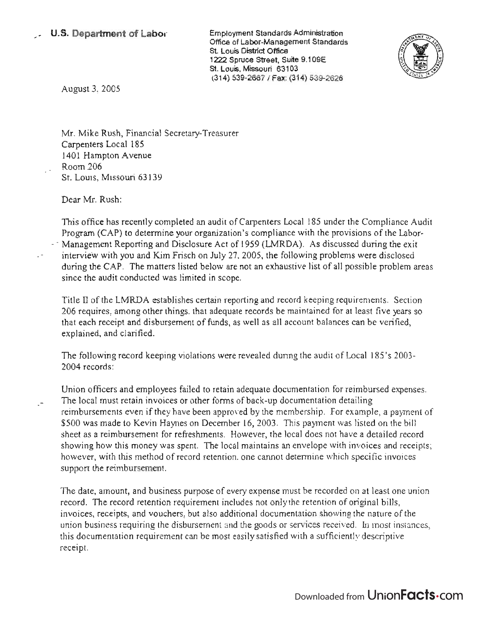Employment Standards Administration Office of Labor-Management Standards St. Louis District Office 1222 Spruce Street, Suite 9.109E St. Louis, Missouri 63103 (314) 539-2667/ Fax: (314) 539-2626



August 3, 2005

Mr. Mike Rush, Financial Secretary-Treasurer Carpenters Local 185 1401 Hampton Avenue Room 206 St. Louis, Missouri 63139

Dear Mr. Rush:

This office has recently completed an audit of Carpenters Local 185 under the Compliance Audit Program (CAP) to determine your organization's compliance with the provisions of the Labor- Management Reporting and Disclosure Act of 1959 (LMRDA). As discussed during the exit interview with you and Kim Frisch on July 27.2005, the following problems were disclosed during the CAP. The matters listed below are not an exhaustive list of all possible problem areas since the audit conducted was limited in scope.

Title II of the LMRDA establishes certain reporting and record keeping requirements. Section 206 requires, among other things. that adequate records be maintained for at least five years so that each receipt and disbursement of funds, as well as all account balances can be verified, explained, and clarified.

The following record keeping violations were revealed during the audit of Local 185's 2003-2004 records:

Union officers and employees failed to retain adequate documentation for reimbursed expenses. The local must retain invoices or other forms of back-up documentation detailing reimbursements even if they have been approwd by the membership. For example, a payment of \$500 was made to Kevin Haynes on December 16, 2003. This payment was listed on the bill sheet as a reimbursement for refreshments. However, the local does not have a detailed record showing how this money was spent. The local maintains an envelope with invoices and receipts; however, with this method of record retention, one cannot determine which specific invoices support the reimbursement.

The date, amount, and business purpose of every expense must be recorded on at least one union record. The record retention requirement includes not only the retention of original bills, invoices, receipts, and vouchers, but also additional documentation showing the nature of the union business requiring the disbursement and the goods or services received. In most instances, this documentation requirement can be most easily satisfied with a sufficiently descriptive receipt.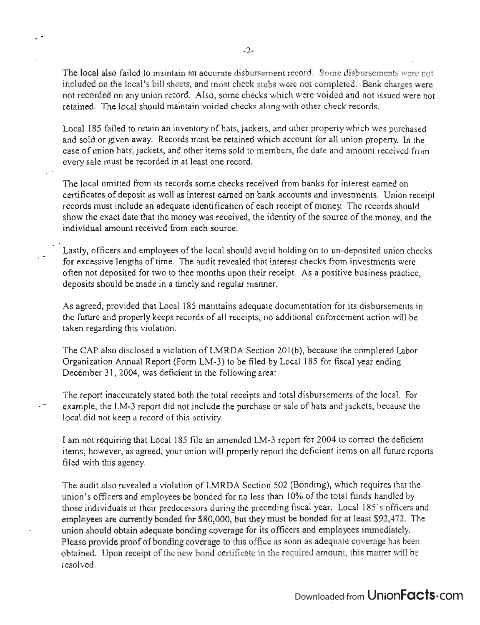The local also failed to maintain an accurate disbursement record. Some disbursements were not included on the local's bill sheets, and most check stubs were not completed. Bank charges were not recorded on any union record. Also, some checks which were voided and not issued were not retained. The local should maintain voided checks along with other check records.

Local 185 failed to retain an inventory of hats, jackets, and other property which was purchased and sold or given away. Records must be retained which account for all union property. In the case of union hats, jackets, and other items sold to members, the date and amount received from every sale must be recorded in at least one record.

The local omitted from its records some checks received from banks for interest earned on certificates of deposit as well as interest earned on bank accounts and investments. Union receipt records must include an adequate identification of each receipt of money. The records should show the exact date that the money was received, the identity of the source of the money, and the individual amount received from each source.

Lastly, officers and employees of the local should avoid holding on to un-deposited union checks for excessive lengths of time. The audit revealed that interest checks from investments were often not deposited for two to thee months upon their receipt. As a positive business practice, deposits should be made in a timely and regular manner.

As agreed, provided that Local 185 maintains adequate documentation for its disbursements in the future and properly keeps records of all receipts, no additional enforcement action will be taken regarding this violation.

The CAP also disclosed a violation of LMRDA Section 201(b), because the completed Labor Organization Annual Report (Form LM-3) to be filed by Local 185 for fiscal year ending December 31, 2004, was deficient in the following area:

The report inaccurately stated both the total receipts and total disbursements of the local. For example, the LM-3 report did not include the purchase or sale of hats and jackets, because the local did not keep a record of this activity.

I am not requiring that Local 185 file an amended LM-3 report for 2004 to correct the deficient items; however, as agreed, your union will properly report the deficient items on all future reports filed with this agency.

The audit also revealed a violation of LMRDA Section 502 (Bonding), which requires that the union's officers and employees be bonded for no less than 10% of the total funds handled by those individuals or their predecessors during the preceding fiscal year. Local 185's officers and employees are currently bonded for \$80,000, but they must be bonded for at least \$92,472. The union should obtain adequate bonding coverage for its officers and employees immediately. Please provide proof of bonding coverage to this office as soon as adequate coverage has been obtained. Upon receipt of the new bond certificate in the required amount, this matter will be resolved.